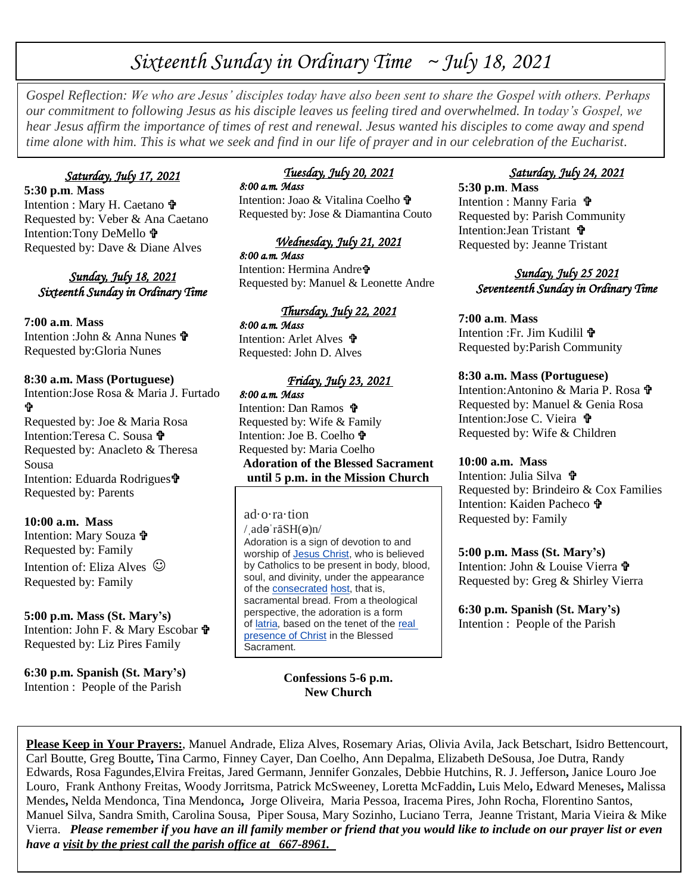# *Sixteenth Sunday in Ordinary Time ~ July 18, 2021*

*Gospel Reflection: We who are Jesus' disciples today have also been sent to share the Gospel with others. Perhaps our commitment to following Jesus as his disciple leaves us feeling tired and overwhelmed. In today's Gospel, we hear Jesus affirm the importance of times of rest and renewal. Jesus wanted his disciples to come away and spend time alone with him. This is what we seek and find in our life of prayer and in our celebration of the Eucharist.*

### *Saturday, July 17, 2021*

**5:30 p.m**. **Mass** Intention : Mary H. Caetano Requested by: Veber & Ana Caetano Intention:Tony DeMello Requested by: Dave & Diane Alves

*Sunday, July 18, 2021 Sixteenth Sunday in Ordinary Time* 

### **7:00 a.m**. **Mass**

Intention : John & Anna Nunes Requested by:Gloria Nunes

#### **8:30 a.m. Mass (Portuguese)**

Intention:Jose Rosa & Maria J. Furtado Ŷ Requested by: Joe & Maria Rosa

Intention:Teresa C. Sousa Requested by: Anacleto & Theresa Sousa Intention: Eduarda Rodrigues Requested by: Parents

**10:00 a.m. Mass** Intention: Mary Souza  $\mathbf{\hat{\mathbf{r}}}$ Requested by: Family Intention of: Eliza Alves  $\odot$ 

Requested by: Family

**5:00 p.m. Mass (St. Mary's)** Intention: John F. & Mary Escobar Requested by: Liz Pires Family

**6:30 p.m. Spanish (St. Mary's)** Intention : People of the Parish

# *Tuesday, July 20, 2021*

*8:00 a.m. Mass*  Intention: Joao & Vitalina Coelho <sup>th</sup> Requested by: Jose & Diamantina Couto

#### *Wednesday, July 21, 2021 8:00 a.m. Mass*

Intention: Hermina Andre Requested by: Manuel & Leonette Andre

#### *Thursday, July 22, 2021*

*8:00 a.m. Mass*  Intention: Arlet Alves Requested: John D. Alves

#### *Friday, July 23, 2021*

*8:00 a.m. Mass*  Intention: Dan Ramos Requested by: Wife & Family Intention: Joe B. Coelho Requested by: Maria Coelho **Adoration of the Blessed Sacrament until 5 p.m. in the Mission Church**

ad·o·ra·tion  $/$  adə rāSH $(\Theta)$ n $/$ Adoration is a sign of devotion to and worship of **Jesus Christ**, who is believed by Catholics to be present in body, blood, soul, and divinity, under the appearance of the [consecrated](https://en.wikipedia.org/wiki/Consecration) [host,](https://en.wikipedia.org/wiki/Host_(Holy_Communion)) that is, sacramental bread. From a theological perspective, the adoration is a form of [latria,](https://en.wikipedia.org/wiki/Latria) based on the tenet of the [real](https://en.wikipedia.org/wiki/Real_presence_of_Christ)  [presence of Christ](https://en.wikipedia.org/wiki/Real_presence_of_Christ) in the Blessed Sacrament.

> **Confessions 5-6 p.m. New Church**

# *Saturday, July 24, 2021*

**5:30 p.m**. **Mass** Intention : Manny Faria  $\mathbf{\hat{v}}$ Requested by: Parish Community Intention:Jean Tristant Requested by: Jeanne Tristant

## *Sunday, July 25 2021 Seventeenth Sunday in Ordinary Time*

**7:00 a.m**. **Mass** Intention :Fr. Jim Kudilil Requested by:Parish Community

#### **8:30 a.m. Mass (Portuguese)**

Intention:Antonino & Maria P. Rosa Requested by: Manuel & Genia Rosa Intention:Jose C. Vieira Requested by: Wife & Children

#### **10:00 a.m. Mass**

Intention: Julia Silva **T** Requested by: Brindeiro & Cox Families Intention: Kaiden Pacheco **t** Requested by: Family

**5:00 p.m. Mass (St. Mary's)** Intention: John & Louise Vierra  $\mathbf{\hat{\mathbf{F}}}$ Requested by: Greg & Shirley Vierra

**6:30 p.m. Spanish (St. Mary's)** Intention : People of the Parish

**Please Keep in Your Prayers:**, Manuel Andrade, Eliza Alves, Rosemary Arias, Olivia Avila, Jack Betschart, Isidro Bettencourt, Carl Boutte, Greg Boutte**,** Tina Carmo, Finney Cayer, Dan Coelho, Ann Depalma, Elizabeth DeSousa, Joe Dutra, Randy Edwards, Rosa Fagundes,Elvira Freitas, Jared Germann, Jennifer Gonzales, Debbie Hutchins, R. J. Jefferson**,** Janice Louro Joe Louro, Frank Anthony Freitas, Woody Jorritsma, Patrick McSweeney, Loretta McFaddin**,** Luis Melo**,** Edward Meneses**,** Malissa Mendes**,** Nelda Mendonca, Tina Mendonca**,** Jorge Oliveira, Maria Pessoa, Iracema Pires, John Rocha, Florentino Santos, Manuel Silva, Sandra Smith, Carolina Sousa, Piper Sousa, Mary Sozinho, Luciano Terra, Jeanne Tristant, Maria Vieira & Mike Vierra. *Please remember if you have an ill family member or friend that you would like to include on our prayer list or even have a visit by the priest call the parish office at 667-8961.*